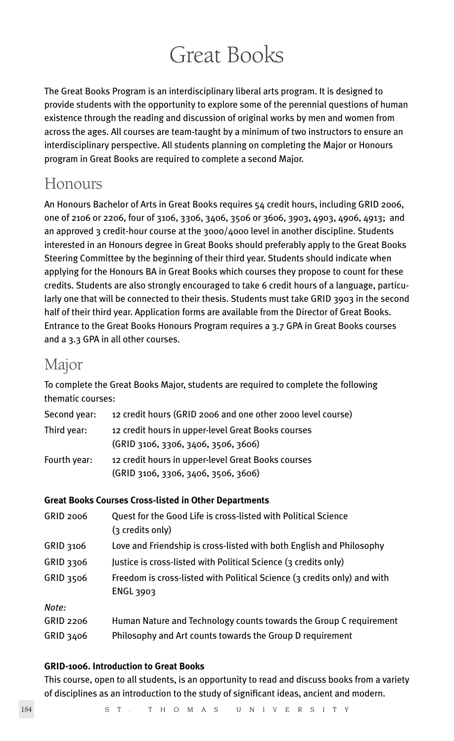# Great Books

The Great Books Program is an interdisciplinary liberal arts program. It is designed to provide students with the opportunity to explore some of the perennial questions of human existence through the reading and discussion of original works by men and women from across the ages. All courses are team-taught by a minimum of two instructors to ensure an interdisciplinary perspective. All students planning on completing the Major or Honours program in Great Books are required to complete a second Major.

# Honours

An Honours Bachelor of Arts in Great Books requires 54 credit hours, including GRID 2006, one of 2106 or 2206, four of 3106, 3306, 3406, 3506 or 3606, 3903, 4903, 4906, 4913; and an approved 3 credit-hour course at the  $3000/4000$  level in another discipline. Students interested in an Honours degree in Great Books should preferably apply to the Great Books Steering Committee by the beginning of their third year. Students should indicate when applying for the Honours BA in Great Books which courses they propose to count for these credits. Students are also strongly encouraged to take 6 credit hours of a language, particularly one that will be connected to their thesis. Students must take GRID 3903 in the second half of their third year. Application forms are available from the Director of Great Books. Entrance to the Great Books Honours Program requires a 3.7 GPA in Great Books courses and a 3.3 GPA in all other courses.

# Major

To complete the Great Books Major, students are required to complete the following thematic courses:

| Second year: | 12 credit hours (GRID 2006 and one other 2000 level course)                               |
|--------------|-------------------------------------------------------------------------------------------|
| Third year:  | 12 credit hours in upper-level Great Books courses<br>(GRID 3106, 3306, 3406, 3506, 3606) |
| Fourth year: | 12 credit hours in upper-level Great Books courses<br>(GRID 3106, 3306, 3406, 3506, 3606) |

# **Great Books Courses Cross-listed in Other Departments**

| <b>GRID 2006</b> | Quest for the Good Life is cross-listed with Political Science<br>(3 credits only)    |
|------------------|---------------------------------------------------------------------------------------|
| GRID 3106        | Love and Friendship is cross-listed with both English and Philosophy                  |
| GRID 3306        | Justice is cross-listed with Political Science (3 credits only)                       |
| <b>GRID 3506</b> | Freedom is cross-listed with Political Science (3 credits only) and with<br>ENGL 3903 |
| Note:            |                                                                                       |
| GRID 2206        | Human Nature and Technology counts towards the Group C requirement                    |
| GRID 3406        | Philosophy and Art counts towards the Group D requirement                             |
|                  |                                                                                       |

# **GRID-1006. Introduction to Great Books**

This course, open to all students, is an opportunity to read and discuss books from a variety of disciplines as an introduction to the study of significant ideas, ancient and modern.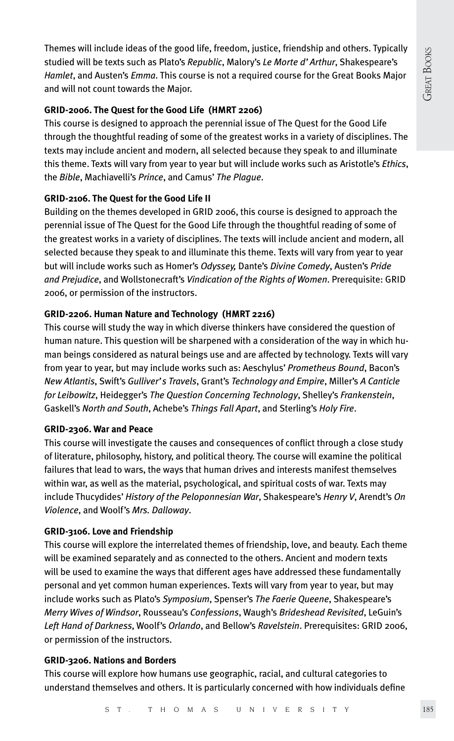Themes will include ideas of the good life, freedom, justice, friendship and others. Typically studied will be texts such as Plato's *Republic*, Malory's *Le Morte d'Arthur*, Shakespeare's *Hamlet*, and Austen's *Emma*. This course is not a required course for the Great Books Major and will not count towards the Major.

### **GRID-2006. The Quest for the Good Life (HMRT 2206)**

This course is designed to approach the perennial issue of The Quest for the Good Life through the thoughtful reading of some of the greatest works in a variety of disciplines. The texts may include ancient and modern, all selected because they speak to and illuminate this theme. Texts will vary from year to year but will include works such as Aristotle's *Ethics*, the *Bible*, Machiavelli's *Prince*, and Camus' *The Plague*.

# **GRID-2106. The Quest for the Good Life II**

Building on the themes developed in GRID 2006, this course is designed to approach the perennial issue of The Quest for the Good Life through the thoughtful reading of some of the greatest works in a variety of disciplines. The texts will include ancient and modern, all selected because they speak to and illuminate this theme. Texts will vary from year to year but will include works such as Homer's *Odyssey,* Dante's *Divine Comedy*, Austen's *Pride and Prejudice*, and Wollstonecraft's *Vindication of the Rights of Women*. Prerequisite: GRID 2006, or permission of the instructors.

# **GRID-2206. Human Nature and Technology (HMRT 2216)**

This course will study the way in which diverse thinkers have considered the question of human nature. This question will be sharpened with a consideration of the way in which human beings considered as natural beings use and are affected by technology. Texts will vary from year to year, but may include works such as: Aeschylus' *Prometheus Bound*, Bacon's *New Atlantis*, Swift's *Gulliver's Travels*, Grant's *Technology and Empire*, Miller's *A Canticle for Leibowitz*, Heidegger's *The Question Concerning Technology*, Shelley's *Frankenstein*, Gaskell's *North and South*, Achebe's *Things Fall Apart*, and Sterling's *Holy Fire*.

#### **GRID-2306. War and Peace**

This course will investigate the causes and consequences of conflict through a close study of literature, philosophy, history, and political theory. The course will examine the political failures that lead to wars, the ways that human drives and interests manifest themselves within war, as well as the material, psychological, and spiritual costs of war. Texts may include Thucydides' *History of the Peloponnesian War*, Shakespeare's *Henry V*, Arendt's *On Violence*, and Woolf's *Mrs. Dalloway*.

# **GRID-3106. Love and Friendship**

This course will explore the interrelated themes of friendship, love, and beauty. Each theme will be examined separately and as connected to the others. Ancient and modern texts will be used to examine the ways that different ages have addressed these fundamentally personal and yet common human experiences. Texts will vary from year to year, but may include works such as Plato's *Symposium*, Spenser's *The Faerie Queene*, Shakespeare's *Merry Wives of Windsor*, Rousseau's *Confessions*, Waugh's *Brideshead Revisited*, LeGuin's *Left Hand of Darkness*, Woolf's *Orlando*, and Bellow's *Ravelstein*. Prerequisites: GRID 2006, or permission of the instructors.

#### **GRID-3206. Nations and Borders**

This course will explore how humans use geographic, racial, and cultural categories to understand themselves and others. It is particularly concerned with how individuals define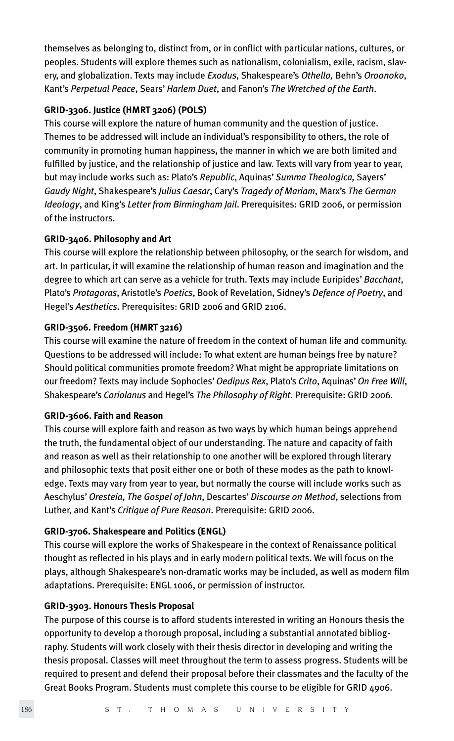themselves as belonging to, distinct from, or in conflict with particular nations, cultures, or peoples. Students will explore themes such as nationalism, colonialism, exile, racism, slavery, and globalization. Texts may include *Exodus*, Shakespeare's *Othello,* Behn's *Oroonoko*, Kant's *Perpetual Peace*, Sears' *Harlem Duet*, and Fanon's *The Wretched of the Earth*.

#### **GRID-3306. Justice (HMRT 3206) (POLS)**

This course will explore the nature of human community and the question of justice. Themes to be addressed will include an individual's responsibility to others, the role of community in promoting human happiness, the manner in which we are both limited and fulfilled by justice, and the relationship of justice and law. Texts will vary from year to year, but may include works such as: Plato's *Republic*, Aquinas' *Summa Theologica,* Sayers' *Gaudy Night*, Shakespeare's *Julius Caesar*, Cary's *Tragedy of Mariam*, Marx's *The German Ideology*, and King's *Letter from Birmingham Jail*. Prerequisites: GRID 2006, or permission of the instructors.

#### **GRID-3406. Philosophy and Art**

This course will explore the relationship between philosophy, or the search for wisdom, and art. In particular, it will examine the relationship of human reason and imagination and the degree to which art can serve as a vehicle for truth. Texts may include Euripides' *Bacchant*, Plato's *Protagoras*, Aristotle's *Poetics*, Book of Revelation, Sidney's *Defence of Poetry*, and Hegel's *Aesthetics*. Prerequisites: GRID 2006 and GRID 2106.

#### **GRID-3506. Freedom (HMRT 3216)**

This course will examine the nature of freedom in the context of human life and community. Questions to be addressed will include: To what extent are human beings free by nature? Should political communities promote freedom? What might be appropriate limitations on our freedom? Texts may include Sophocles' *Oedipus Rex*, Plato's *Crito*, Aquinas' *On Free Will*, Shakespeare's *Coriolanus* and Hegel's *The Philosophy of Right.* Prerequisite: GRID 2006.

#### **GRID-3606. Faith and Reason**

This course will explore faith and reason as two ways by which human beings apprehend the truth, the fundamental object of our understanding. The nature and capacity of faith and reason as well as their relationship to one another will be explored through literary and philosophic texts that posit either one or both of these modes as the path to knowledge. Texts may vary from year to year, but normally the course will include works such as Aeschylus' *Oresteia*, *The Gospel of John*, Descartes' *Discourse on Method*, selections from Luther, and Kant's *Critique of Pure Reason*. Prerequisite: GRID 2006.

#### **GRID-3706. Shakespeare and Politics (ENGL)**

This course will explore the works of Shakespeare in the context of Renaissance political thought as reflected in his plays and in early modern political texts. We will focus on the plays, although Shakespeare's non-dramatic works may be included, as well as modern film adaptations. Prerequisite: ENGL 1006, or permission of instructor.

#### **GRID-3903. Honours Thesis Proposal**

The purpose of this course is to afford students interested in writing an Honours thesis the opportunity to develop a thorough proposal, including a substantial annotated bibliography. Students will work closely with their thesis director in developing and writing the thesis proposal. Classes will meet throughout the term to assess progress. Students will be required to present and defend their proposal before their classmates and the faculty of the Great Books Program. Students must complete this course to be eligible for GRID 4906.